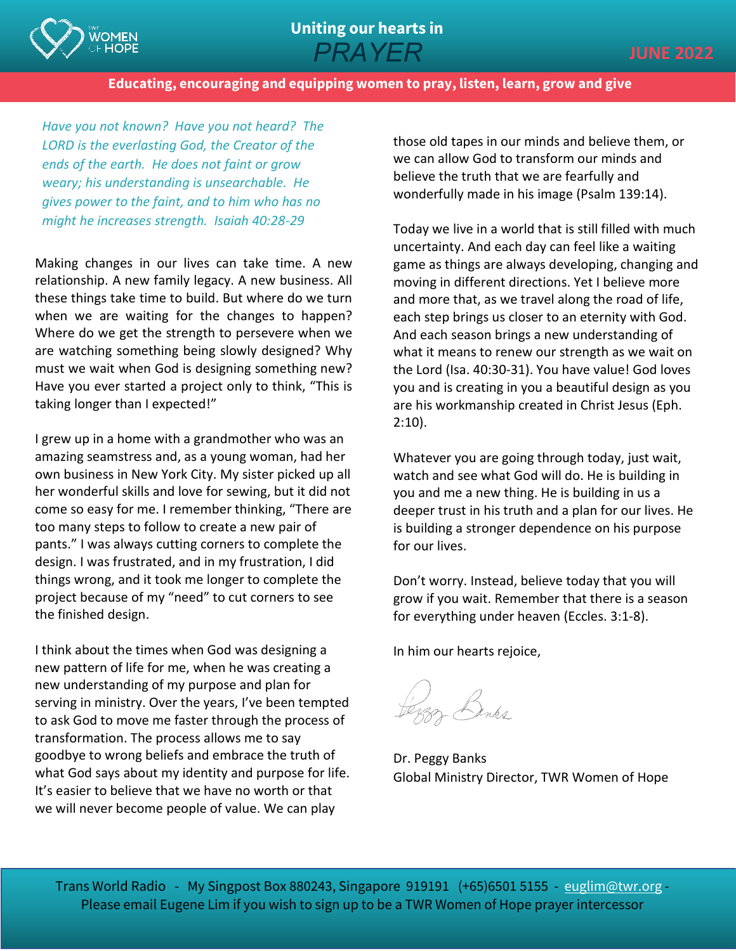

**Educating, encouraging and equipping women to pray, listen, learn, grow and give**

*Have you not known? Have you not heard? The LORD is the everlasting God, the Creator of the ends of the earth. He does not faint or grow weary; his understanding is unsearchable. He gives power to the faint, and to him who has no might he increases strength. Isaiah 40:28-29*

Making changes in our lives can take time. A new relationship. A new family legacy. A new business. All these things take time to build. But where do we turn when we are waiting for the changes to happen? Where do we get the strength to persevere when we are watching something being slowly designed? Why must we wait when God is designing something new? Have you ever started a project only to think, "This is taking longer than I expected!"

I grew up in a home with a grandmother who was an amazing seamstress and, as a young woman, had her own business in New York City. My sister picked up all her wonderful skills and love for sewing, but it did not come so easy for me. I remember thinking, "There are too many steps to follow to create a new pair of pants." I was always cutting corners to complete the design. I was frustrated, and in my frustration, I did things wrong, and it took me longer to complete the project because of my "need" to cut corners to see the finished design.

I think about the times when God was designing a new pattern of life for me, when he was creating a new understanding of my purpose and plan for serving in ministry. Over the years, I've been tempted to ask God to move me faster through the process of transformation. The process allows me to say goodbye to wrong beliefs and embrace the truth of what God says about my identity and purpose for life. It's easier to believe that we have no worth or that we will never become people of value. We can play

those old tapes in our minds and believe them, or we can allow God to transform our minds and believe the truth that we are fearfully and wonderfully made in his image (Psalm 139:14).

Today we live in a world that is still filled with much uncertainty. And each day can feel like a waiting game as things are always developing, changing and moving in different directions. Yet I believe more and more that, as we travel along the road of life, each step brings us closer to an eternity with God. And each season brings a new understanding of what it means to renew our strength as we wait on the Lord (Isa. 40:30-31). You have value! God loves you and is creating in you a beautiful design as you are his workmanship created in Christ Jesus (Eph. 2:10).

Whatever you are going through today, just wait, watch and see what God will do. He is building in you and me a new thing. He is building in us a deeper trust in his truth and a plan for our lives. He is building a stronger dependence on his purpose for our lives.

Don't worry. Instead, believe today that you will grow if you wait. Remember that there is a season for everything under heaven (Eccles. 3:1-8).

In him our hearts rejoice,

Benez<br>Genes

Dr. Peggy Banks Global Ministry Director, TWR Women of Hope